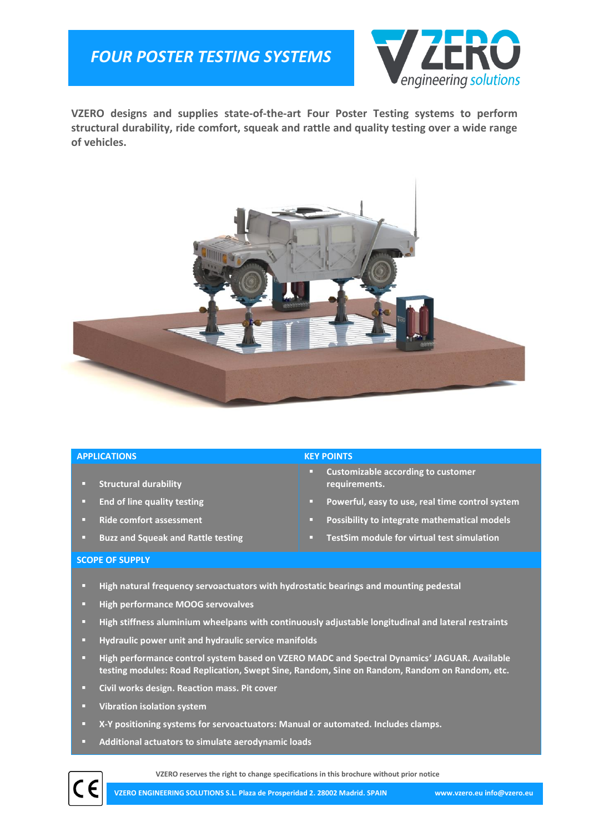# *FOUR POSTER TESTING SYSTEMS*



**VZERO designs and supplies state-of-the-art Four Poster Testing systems to perform structural durability, ride comfort, squeak and rattle and quality testing over a wide range of vehicles.**



### **APPLICATIONS KEY POINTS**

- **Structural durability**
- **End of line quality testing**
- **Ride comfort assessment**
- **Buzz and Squeak and Rattle testing**

- **Customizable according to customer requirements.**
- **Powerful, easy to use, real time control system**
- **Possibility to integrate mathematical models**
- **TestSim module for virtual test simulation**

### **SCOPE OF SUPPLY**

- **High natural frequency servoactuators with hydrostatic bearings and mounting pedestal**
- **High performance MOOG servovalves**
- **High stiffness aluminium wheelpans with continuously adjustable longitudinal and lateral restraints**
- **Hydraulic power unit and hydraulic service manifolds**
- **High performance control system based on VZERO MADC and Spectral Dynamics' JAGUAR. Available testing modules: Road Replication, Swept Sine, Random, Sine on Random, Random on Random, etc.**
- **Civil works design. Reaction mass. Pit cover**
- **Vibration isolation system**

(CF

- **X-Y positioning systems for servoactuators: Manual or automated. Includes clamps.**
- **Additional actuators to simulate aerodynamic loads**

**VZERO reserves the right to change specifications in this brochure without prior notice**